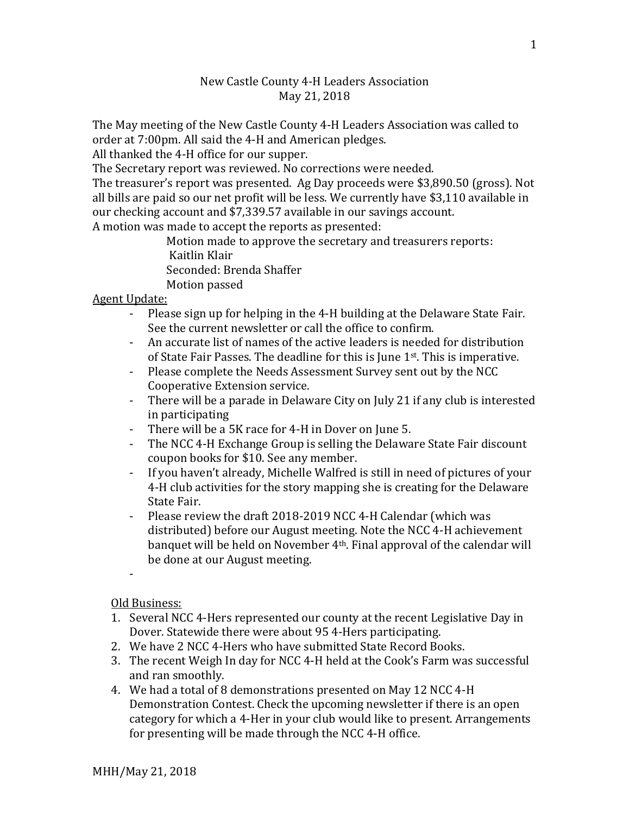## New Castle County 4-H Leaders Association May 21, 2018

The May meeting of the New Castle County 4-H Leaders Association was called to order at 7:00pm. All said the 4-H and American pledges.

All thanked the 4-H office for our supper.

The Secretary report was reviewed. No corrections were needed.

The treasurer's report was presented. Ag Day proceeds were \$3,890.50 (gross). Not all bills are paid so our net profit will be less. We currently have \$3,110 available in our checking account and \$7,339.57 available in our savings account.

A motion was made to accept the reports as presented:

Motion made to approve the secretary and treasurers reports: Kaitlin Klair Seconded: Brenda Shaffer Motion passed

Agent Update:

- Please sign up for helping in the 4-H building at the Delaware State Fair. See the current newsletter or call the office to confirm.
- An accurate list of names of the active leaders is needed for distribution of State Fair Passes. The deadline for this is June 1st. This is imperative.
- Please complete the Needs Assessment Survey sent out by the NCC Cooperative Extension service.
- There will be a parade in Delaware City on July 21 if any club is interested in participating
- There will be a 5K race for 4-H in Dover on June 5.
- The NCC 4-H Exchange Group is selling the Delaware State Fair discount coupon books for \$10. See any member.
- If you haven't already, Michelle Walfred is still in need of pictures of your 4-H club activities for the story mapping she is creating for the Delaware State Fair.
- Please review the draft 2018-2019 NCC 4-H Calendar (which was distributed) before our August meeting. Note the NCC 4-H achievement banquet will be held on November 4th. Final approval of the calendar will be done at our August meeting.
- -

Old Business:

- 1. Several NCC 4-Hers represented our county at the recent Legislative Day in Dover. Statewide there were about 95 4-Hers participating.
- 2. We have 2 NCC 4-Hers who have submitted State Record Books.
- 3. The recent Weigh In day for NCC 4-H held at the Cook's Farm was successful and ran smoothly.
- 4. We had a total of 8 demonstrations presented on May 12 NCC 4-H Demonstration Contest. Check the upcoming newsletter if there is an open category for which a 4-Her in your club would like to present. Arrangements for presenting will be made through the NCC 4-H office.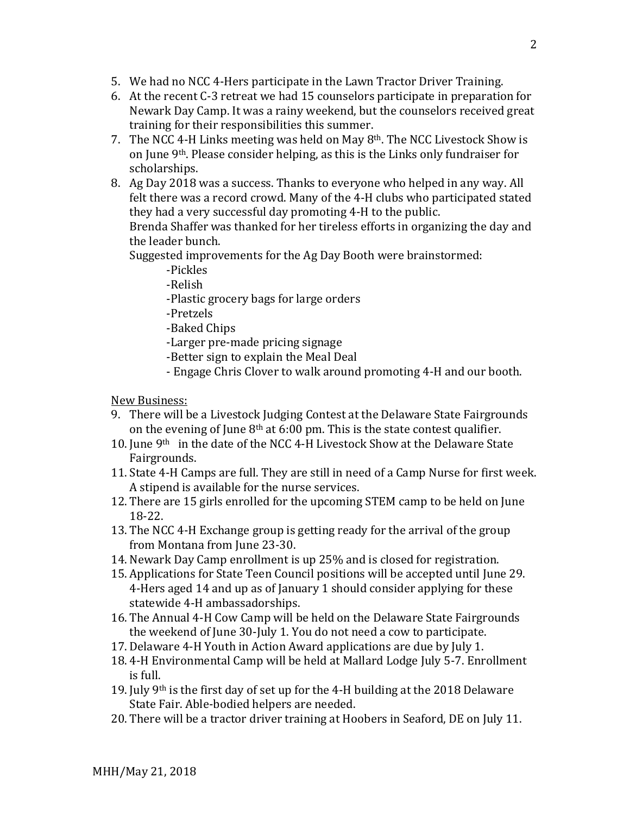- 5. We had no NCC 4-Hers participate in the Lawn Tractor Driver Training.
- 6. At the recent C-3 retreat we had 15 counselors participate in preparation for Newark Day Camp. It was a rainy weekend, but the counselors received great training for their responsibilities this summer.
- 7. The NCC 4-H Links meeting was held on May 8th. The NCC Livestock Show is on June 9th. Please consider helping, as this is the Links only fundraiser for scholarships.
- 8. Ag Day 2018 was a success. Thanks to everyone who helped in any way. All felt there was a record crowd. Many of the 4-H clubs who participated stated they had a very successful day promoting 4-H to the public.

Brenda Shaffer was thanked for her tireless efforts in organizing the day and the leader bunch.

Suggested improvements for the Ag Day Booth were brainstormed:

- -Pickles
- -Relish
- -Plastic grocery bags for large orders
- -Pretzels
- -Baked Chips

-Larger pre-made pricing signage

- -Better sign to explain the Meal Deal
- Engage Chris Clover to walk around promoting 4-H and our booth.

## New Business:

- 9. There will be a Livestock Judging Contest at the Delaware State Fairgrounds on the evening of June  $8<sup>th</sup>$  at 6:00 pm. This is the state contest qualifier.
- 10. June 9th in the date of the NCC 4-H Livestock Show at the Delaware State Fairgrounds.
- 11. State 4-H Camps are full. They are still in need of a Camp Nurse for first week. A stipend is available for the nurse services.
- 12. There are 15 girls enrolled for the upcoming STEM camp to be held on June 18-22.
- 13. The NCC 4-H Exchange group is getting ready for the arrival of the group from Montana from June 23-30.
- 14. Newark Day Camp enrollment is up 25% and is closed for registration.
- 15. Applications for State Teen Council positions will be accepted until June 29. 4-Hers aged 14 and up as of January 1 should consider applying for these statewide 4-H ambassadorships.
- 16. The Annual 4-H Cow Camp will be held on the Delaware State Fairgrounds the weekend of June 30-July 1. You do not need a cow to participate.
- 17. Delaware 4-H Youth in Action Award applications are due by July 1.
- 18. 4-H Environmental Camp will be held at Mallard Lodge July 5-7. Enrollment is full.
- 19. July 9th is the first day of set up for the 4-H building at the 2018 Delaware State Fair. Able-bodied helpers are needed.
- 20. There will be a tractor driver training at Hoobers in Seaford, DE on July 11.